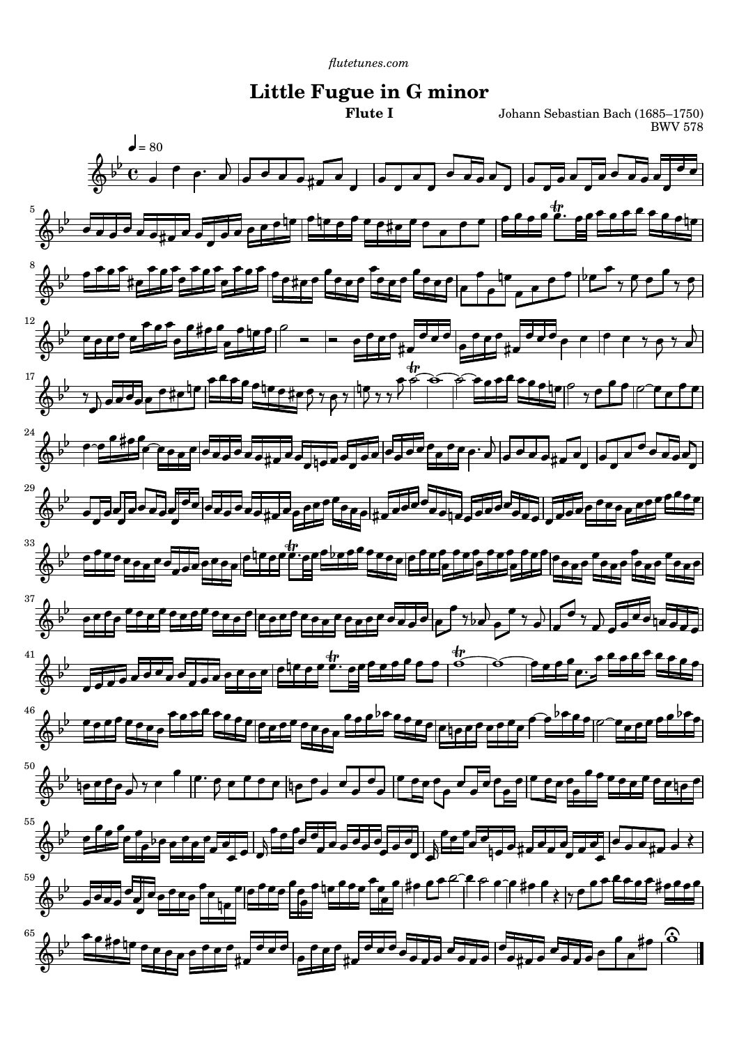## **Little Fugue in G minor**

**Flute I** Johann Sebastian Bach (1685–1750) BWV 578

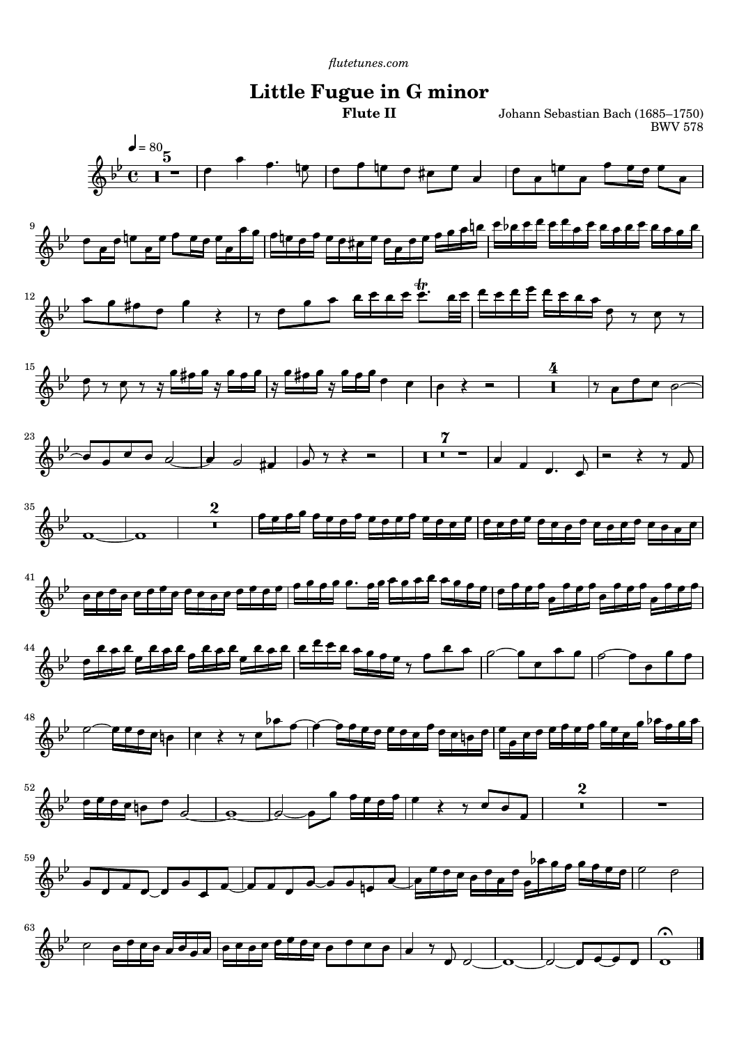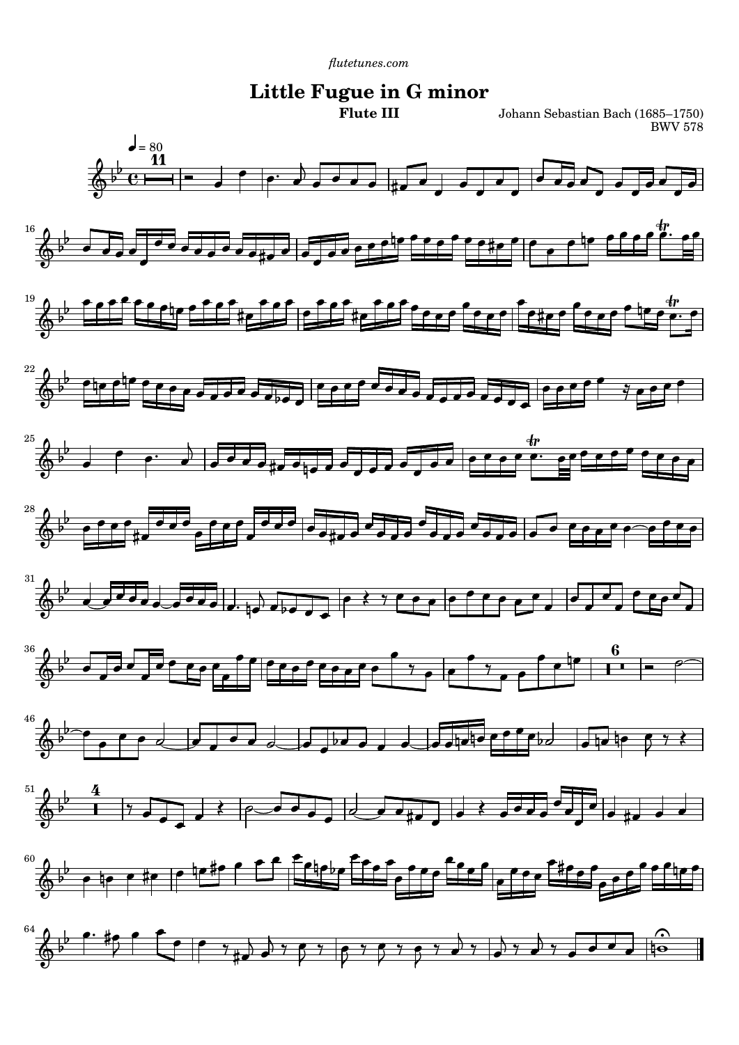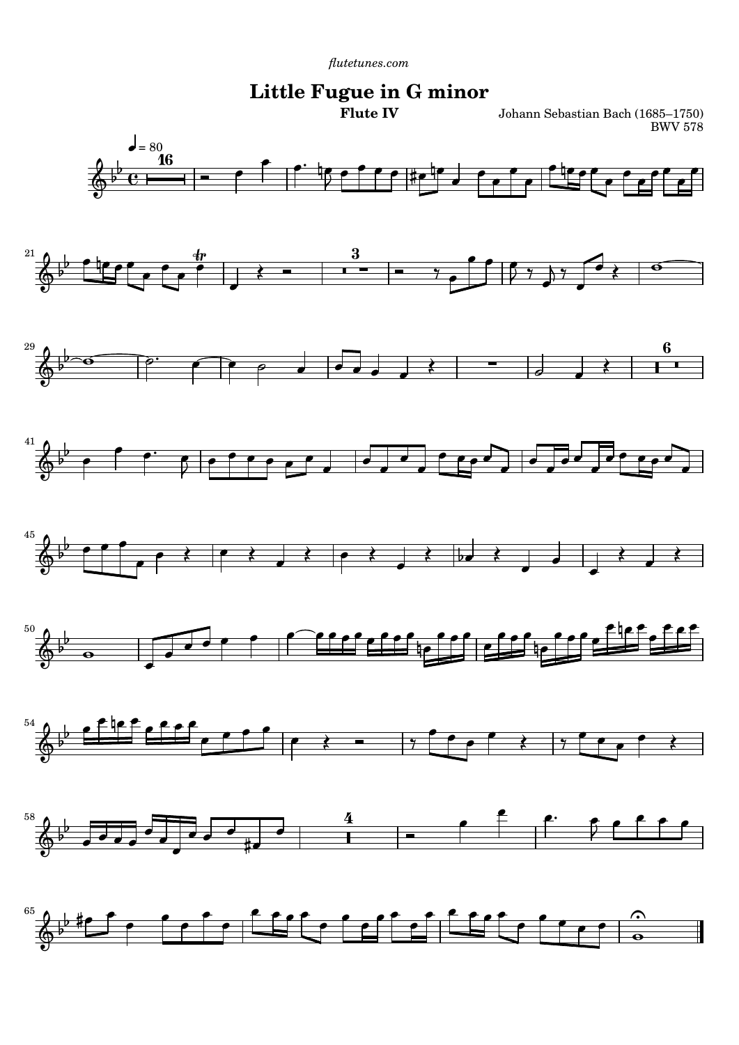## **Little Fugue in G minor Flute IV** Johann Sebastian Bach (1685–1750)

21

41

45

50

58

BWV 578  $\frac{h}{4}$   $\rho$   $\rho$   $\rho$  $\overline{\epsilon}$ f <u>, Friederich de l'intereste</u> P <u>50000000000</u><br>|}  $\oint_C \frac{16}{c}$  $\frac{1}{2}$  $\bullet = 80$ P Z  $\ddot{\gamma}$   $\qquad$  $\frac{3}{\bullet}$   $\frac{3}{\bullet}$   $\frac{3}{\bullet}$  $\overline{ }$  $\overline{\phantom{a}}$  $\overline{\ }$  $\overline{\phantom{a}}$  $\frac{4r}{\sqrt{1-r}}$  $\overline{\mathbb{P}}$   $\overline{\phantom{a}}$ br<br>P  $\begin{array}{|c|c|c|c|c|}\n\hline\n\bullet & \bullet & \bullet & \bullet & \bullet\n\end{array}$   $\overline{\mathcal{C}}$ .  $29$   $8 + 6$   $9 - 6$   $10 - 3$   $11 - 6$   $11$  $\frac{1}{2}$  $\frac{1}{2}$  ,  $\frac{1}{2}$  ,  $\frac{1}{2}$  ,  $\frac{1}{2}$  ,  $\frac{1}{2}$  $\overline{\phantom{a}}$ <u>, i i gleichad de cedar de c</u> : Z P P  $\overline{\phantom{0}}$  $\frac{\partial}{\partial \theta} \phi$  , i.e. i.e. i.e.  $\overline{\phantom{a}}$  $\leftarrow$   $\leftarrow$   $\leftarrow$   $\leftarrow$  P  $\begin{array}{cc} & \bullet & \bullet \end{array}$  $\begin{array}{c|ccccccccc} \hline \textbf{1} & \textbf{1} & \textbf{1} & \textbf{1} & \textbf{1} & \textbf{1} & \textbf{1} & \textbf{1} & \textbf{1} & \textbf{1} & \textbf{1} & \textbf{1} & \textbf{1} & \textbf{1} & \textbf{1} & \textbf{1} & \textbf{1} & \textbf{1} & \textbf{1} & \textbf{1} & \textbf{1} & \textbf{1} & \textbf{1} & \textbf{1} & \textbf{1} & \textbf{1} & \textbf{1} & \textbf{1} & \textbf{1} & \textbf$  $\frac{\partial P_{\text{max}}}{\partial \theta}$  To perfect property  $e^{\frac{2h+1}{h}}$ Ľ  $\frac{1}{2}$  $\oint_{\mathbb{R}} \frac{1}{\rho}$  $\overline{\bullet}$  $\overline{\phantom{a}}$  $\overline{\phantom{a}}$  $\overline{\bullet}$   $\begin{array}{ccc} \uparrow & \bullet & \bullet & \bullet \\ \hline \end{array}$  $54$   $\frac{1}{2}$   $\frac{1}{2}$   $\frac{1}{2}$   $\frac{1}{2}$   $\frac{1}{2}$   $\frac{1}{2}$   $\frac{1}{2}$   $\frac{1}{2}$   $\frac{1}{2}$   $\frac{1}{2}$   $\frac{1}{2}$   $\frac{1}{2}$   $\frac{1}{2}$   $\frac{1}{2}$   $\frac{1}{2}$   $\frac{1}{2}$   $\frac{1}{2}$   $\frac{1}{2}$   $\frac{1}{2}$   $\frac{1}{2}$   $\frac{1}{2}$   $\frac{1}{$  $\frac{1}{2}$   $\frac{1}{2}$   $\frac{1}{2}$   $\frac{1}{2}$   $\frac{1}{2}$  $\overline{\mathbb{P}}$  $\frac{1}{2}$ <u>, ebe€, e, e</u><br>——————————————————— ŕ  $\overline{\phantom{0}}$ ŕ  $f$   $f$  $\overline{\phantom{0}}$  $\frac{4}{\sqrt{1-\frac{1}{2}}}\frac{e^{2x}-e^{2x}}{x^2-1}$ 1  $\frac{1}{\sqrt{1-\frac{1}{2}}}$   $\frac{2}{9}$  and  $\frac{2}{9}$  $\frac{1}{2}$  $\overline{\phantom{a}}$  $\frac{1}{\sqrt{1-\frac{1}{\sqrt{1-\frac{1}{\sqrt{1-\frac{1}{\sqrt{1-\frac{1}{\sqrt{1-\frac{1}{\sqrt{1-\frac{1}{\sqrt{1-\frac{1}{\sqrt{1-\frac{1}{\sqrt{1-\frac{1}{\sqrt{1-\frac{1}{\sqrt{1-\frac{1}{\sqrt{1-\frac{1}{\sqrt{1-\frac{1}{\sqrt{1-\frac{1}{\sqrt{1-\frac{1}{\sqrt{1-\frac{1}{\sqrt{1-\frac{1}{\sqrt{1-\frac{1}{\sqrt{1-\frac{1}{\sqrt{1-\frac{1}{\sqrt{1-\frac{1}{\sqrt{1-\frac{1}{\sqrt{1-\frac{1}{\sqrt{1-\frac{1$  $\overline{\phantom{a}}$ 

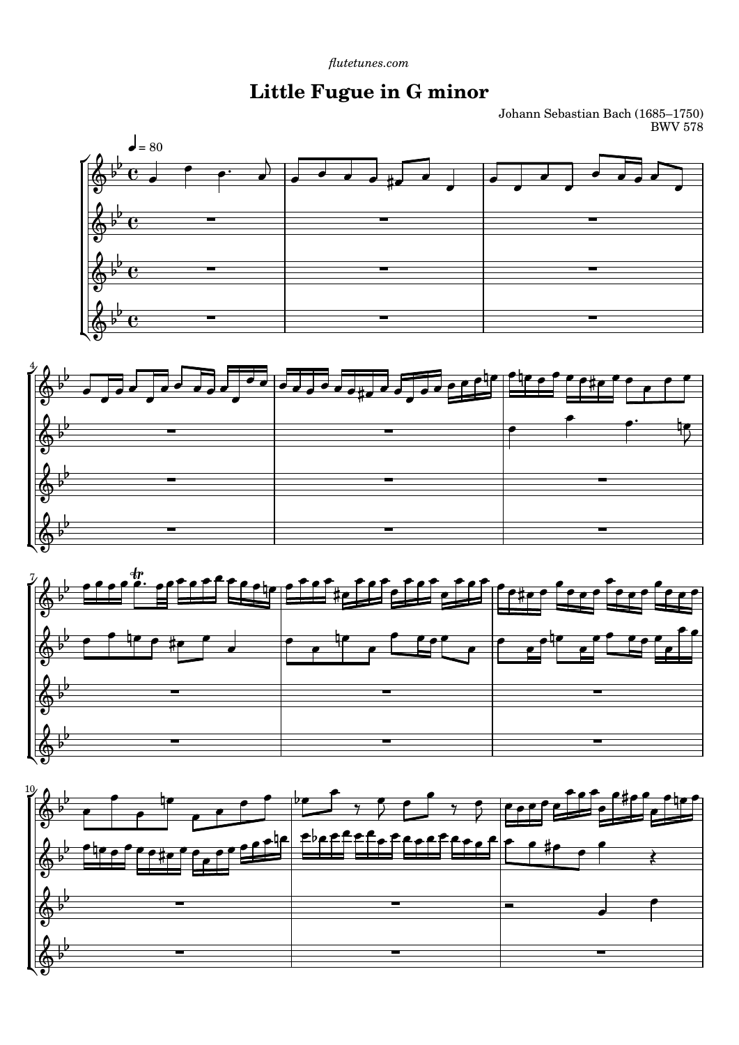## **Little Fugue in G minor**

Johann Sebastian Bach (1685–1750) BWV 578







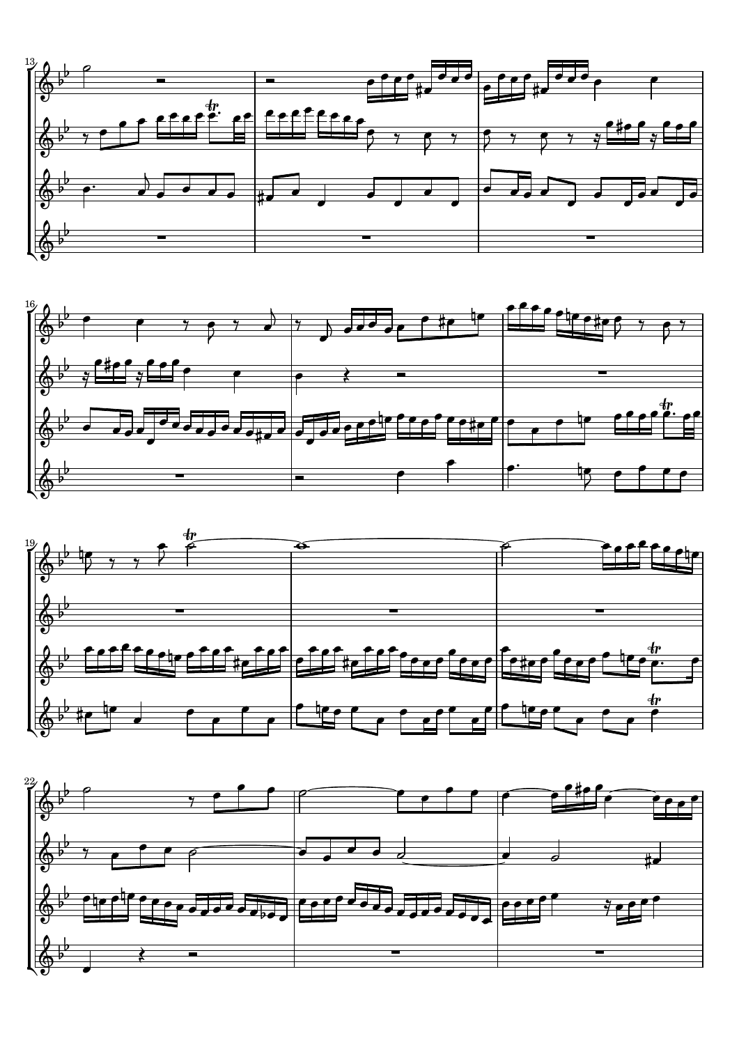





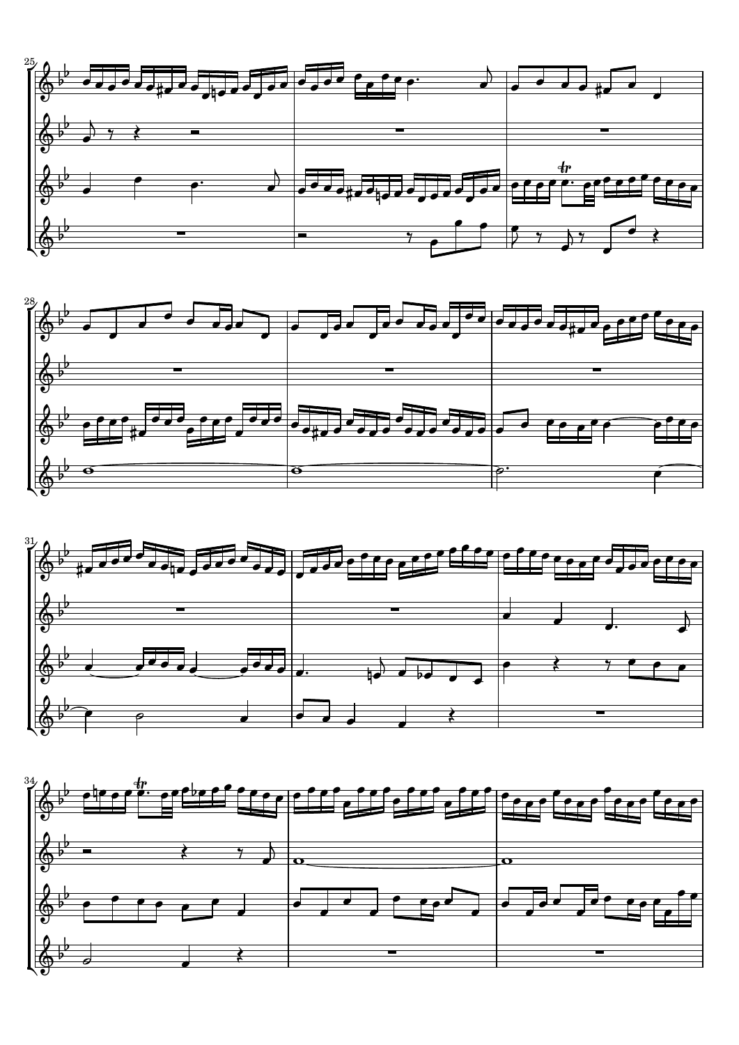





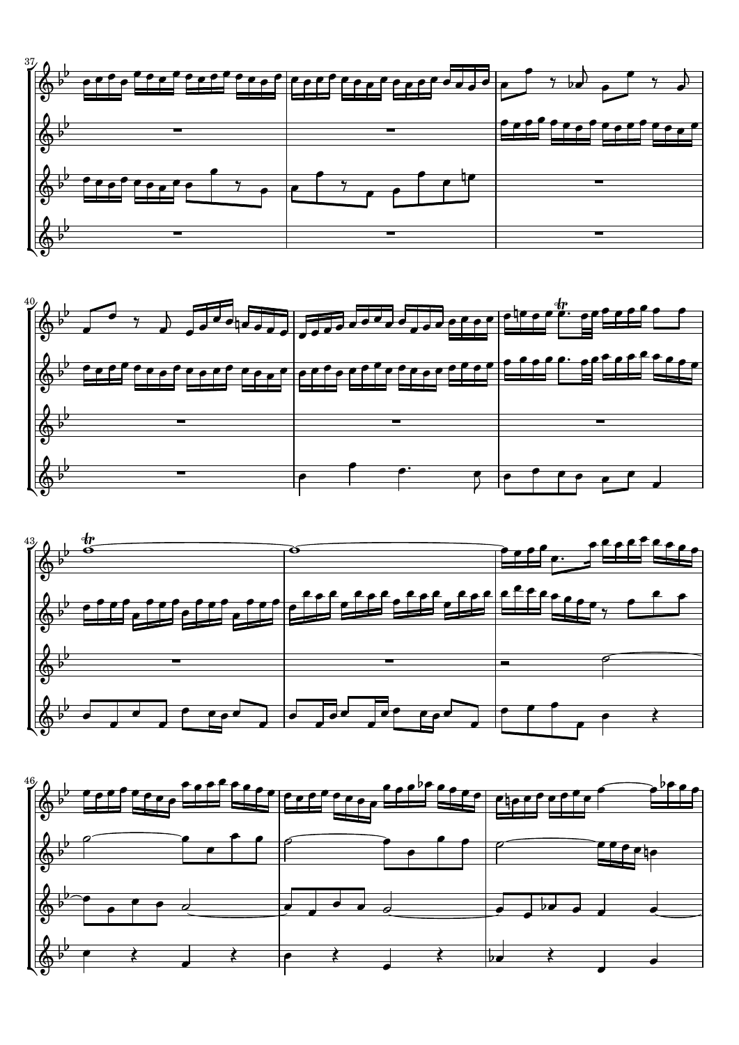





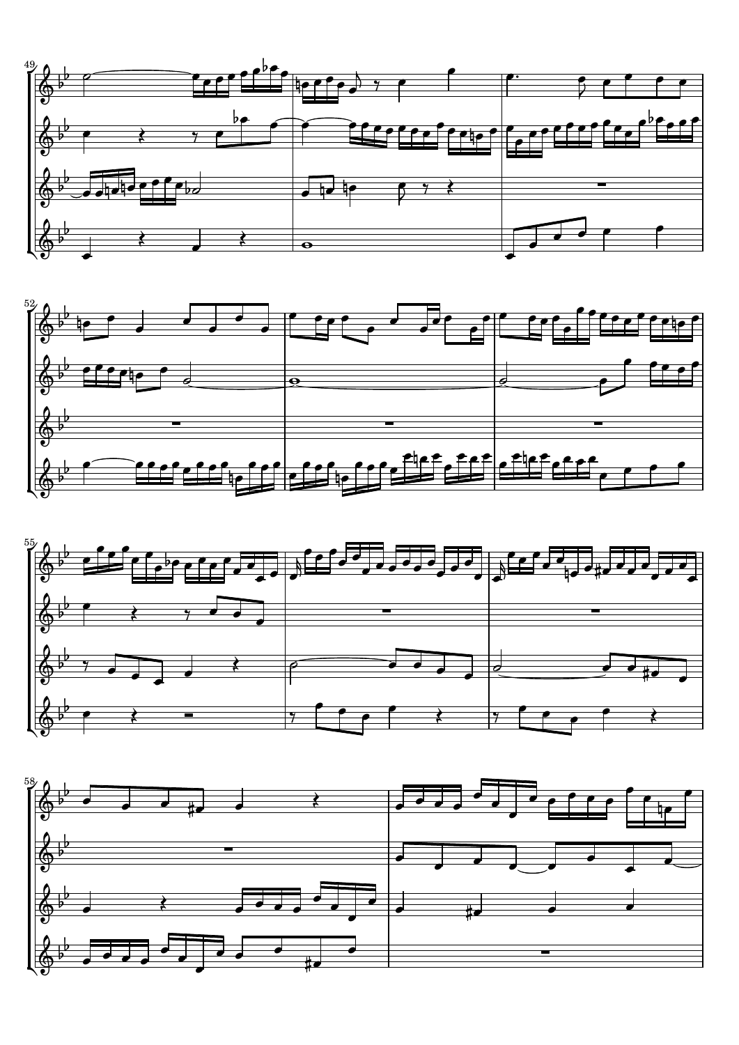